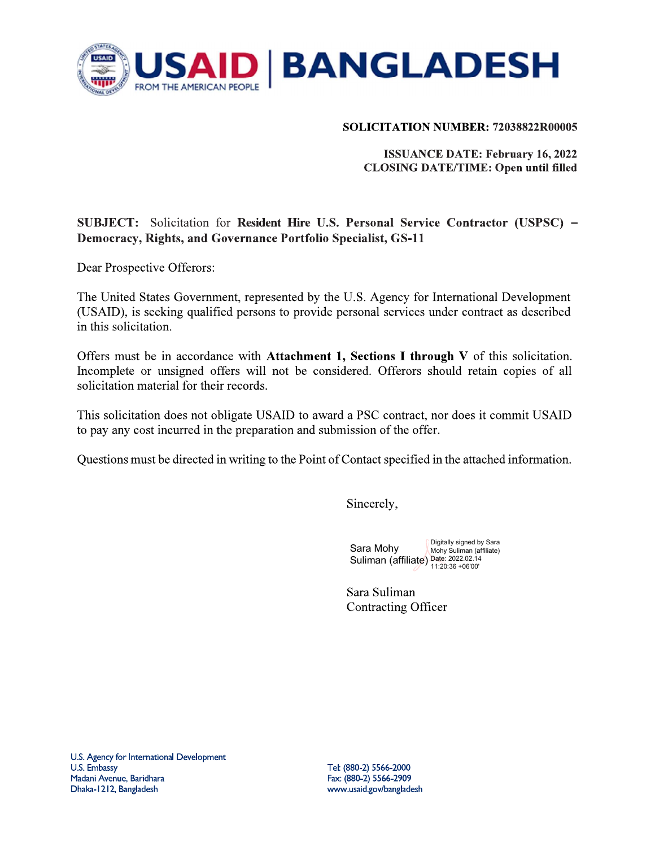

### SOLICITATION NUMBER: 72038822R00005

**ISSUANCE DATE: February 16, 2022 CLOSING DATE/TIME: Open until filled** 

# SUBJECT: Solicitation for Resident Hire U.S. Personal Service Contractor (USPSC) – Democracy, Rights, and Governance Portfolio Specialist, GS-11

Dear Prospective Offerors:

The United States Government, represented by the U.S. Agency for International Development (USAID), is seeking qualified persons to provide personal services under contract as described in this solicitation.

Offers must be in accordance with Attachment 1, Sections I through V of this solicitation. Incomplete or unsigned offers will not be considered. Offerors should retain copies of all solicitation material for their records.

This solicitation does not obligate USAID to award a PSC contract, nor does it commit USAID to pay any cost incurred in the preparation and submission of the offer.

Questions must be directed in writing to the Point of Contact specified in the attached information.

Sincerely,

Digitally signed by Sara Sara Mohy Mohy Suliman (affiliate) Suliman (affiliate) Date: 2022.02.14  $11:20:36 + 06'00'$ 

Sara Suliman **Contracting Officer**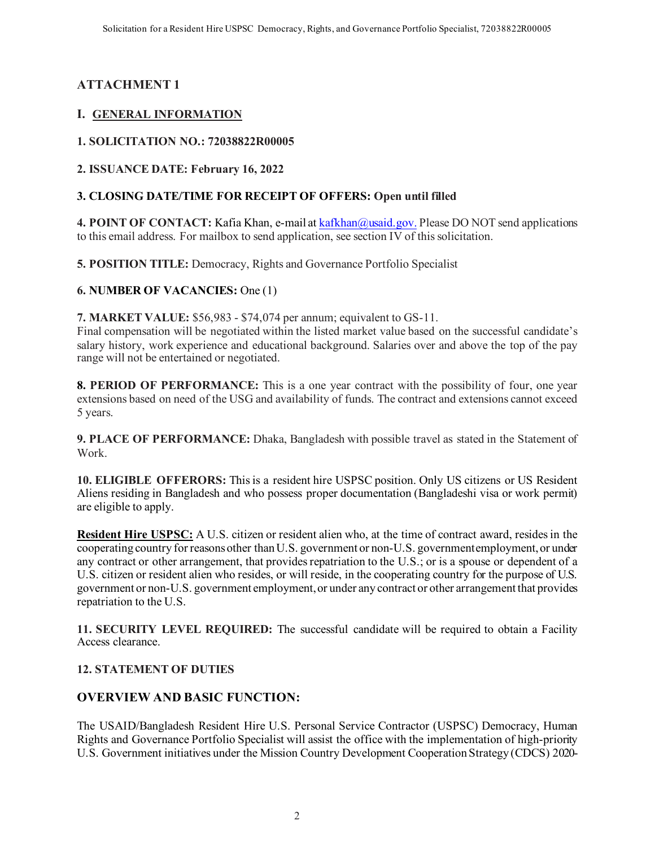# **ATTACHMENT 1**

# **I. GENERAL INFORMATION**

# **1. SOLICITATION NO.: 72038822R00005**

**2. ISSUANCE DATE: February 16, 2022**

# **3. CLOSING DATE/TIME FOR RECEIPT OF OFFERS: Open until filled**

4. POINT OF CONTACT: Kafia Khan, e-mail a[t kafkhan@usaid.gov](mailto:kafkhan@usaid.gov). Please DO NOT send applications to this email address. For mailbox to send application, see section IV of this solicitation.

**5. POSITION TITLE:** Democracy, Rights and Governance Portfolio Specialist

**6. NUMBER OF VACANCIES:** One (1)

**7. MARKET VALUE:** \$56,983 - \$74,074 per annum; equivalent to GS-11.

Final compensation will be negotiated within the listed market value based on the successful candidate's salary history, work experience and educational background. Salaries over and above the top of the pay range will not be entertained or negotiated.

**8. PERIOD OF PERFORMANCE:** This is a one year contract with the possibility of four, one year extensions based on need of the USG and availability of funds. The contract and extensions cannot exceed 5 years.

**9. PLACE OF PERFORMANCE:** Dhaka, Bangladesh with possible travel as stated in the Statement of Work.

**10. ELIGIBLE OFFERORS:** This is a resident hire USPSC position. Only US citizens or US Resident Aliens residing in Bangladesh and who possess proper documentation (Bangladeshi visa or work permit) are eligible to apply.

**Resident Hire USPSC:** A U.S. citizen or resident alien who, at the time of contract award, resides in the cooperating country for reasons other than U.S. government or non-U.S. government employment, or under any contract or other arrangement, that provides repatriation to the U.S.; or is a spouse or dependent of a U.S. citizen or resident alien who resides, or will reside, in the cooperating country for the purpose of U.S. government or non-U.S. government employment, or under any contract or other arrangement that provides repatriation to the U.S.

**11. SECURITY LEVEL REQUIRED:** The successful candidate will be required to obtain a Facility Access clearance.

### **12. STATEMENT OF DUTIES**

# **OVERVIEW AND BASIC FUNCTION:**

The USAID/Bangladesh Resident Hire U.S. Personal Service Contractor (USPSC) Democracy, Human Rights and Governance Portfolio Specialist will assist the office with the implementation of high-priority U.S. Government initiatives under the Mission Country Development Cooperation Strategy (CDCS) 2020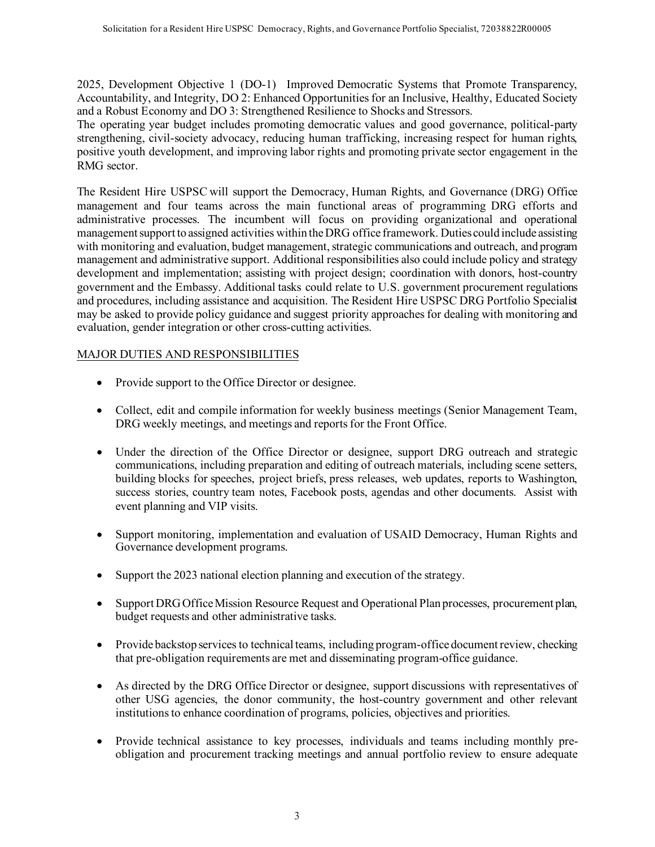2025, Development Objective 1 (DO-1) Improved Democratic Systems that Promote Transparency, Accountability, and Integrity, DO 2: Enhanced Opportunities for an Inclusive, Healthy, Educated Society and a Robust Economy and DO 3: Strengthened Resilience to Shocks and Stressors.

The operating year budget includes promoting democratic values and good governance, political-party strengthening, civil-society advocacy, reducing human trafficking, increasing respect for human rights, positive youth development, and improving labor rights and promoting private sector engagement in the RMG sector.

The Resident Hire USPSC will support the Democracy, Human Rights, and Governance (DRG) Office management and four teams across the main functional areas of programming DRG efforts and administrative processes. The incumbent will focus on providing organizational and operational management support to assigned activities within the DRG office framework. Duties could include assisting with monitoring and evaluation, budget management, strategic communications and outreach, and program management and administrative support. Additional responsibilities also could include policy and strategy development and implementation; assisting with project design; coordination with donors, host-country government and the Embassy. Additional tasks could relate to U.S. government procurement regulations and procedures, including assistance and acquisition. The Resident Hire USPSC DRG Portfolio Specialist may be asked to provide policy guidance and suggest priority approaches for dealing with monitoring and evaluation, gender integration or other cross-cutting activities.

# MAJOR DUTIES AND RESPONSIBILITIES

- Provide support to the Office Director or designee.
- Collect, edit and compile information for weekly business meetings (Senior Management Team, DRG weekly meetings, and meetings and reports for the Front Office.
- Under the direction of the Office Director or designee, support DRG outreach and strategic communications, including preparation and editing of outreach materials, including scene setters, building blocks for speeches, project briefs, press releases, web updates, reports to Washington, success stories, country team notes, Facebook posts, agendas and other documents. Assist with event planning and VIP visits.
- Support monitoring, implementation and evaluation of USAID Democracy, Human Rights and Governance development programs.
- Support the 2023 national election planning and execution of the strategy.
- Support DRG Office Mission Resource Request and Operational Plan processes, procurement plan, budget requests and other administrative tasks.
- Provide backstop services to technical teams, including program-office document review, checking that pre-obligation requirements are met and disseminating program-office guidance.
- As directed by the DRG Office Director or designee, support discussions with representatives of other USG agencies, the donor community, the host-country government and other relevant institutions to enhance coordination of programs, policies, objectives and priorities.
- Provide technical assistance to key processes, individuals and teams including monthly preobligation and procurement tracking meetings and annual portfolio review to ensure adequate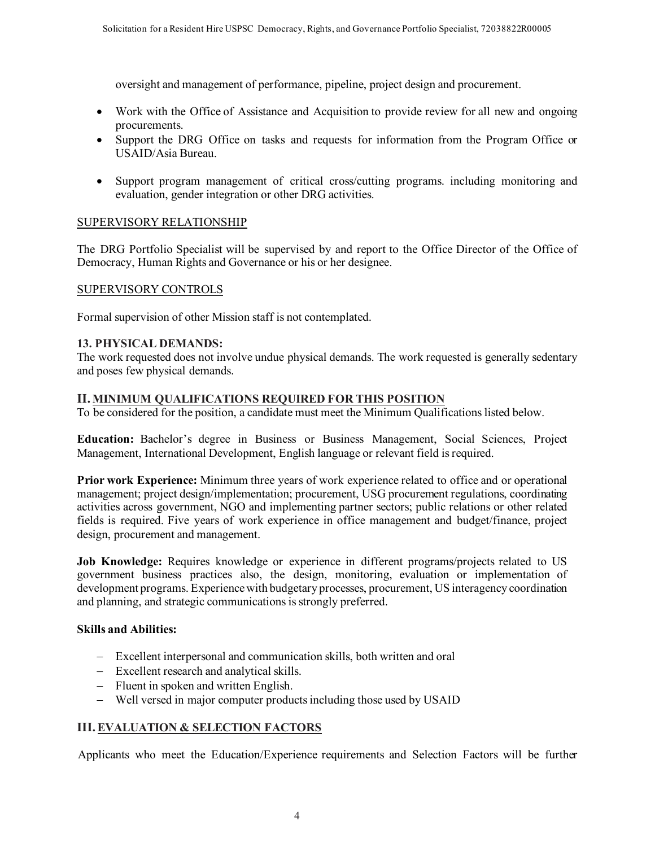oversight and management of performance, pipeline, project design and procurement.

- Work with the Office of Assistance and Acquisition to provide review for all new and ongoing procurements.
- Support the DRG Office on tasks and requests for information from the Program Office or USAID/Asia Bureau.
- Support program management of critical cross/cutting programs. including monitoring and evaluation, gender integration or other DRG activities.

#### SUPERVISORY RELATIONSHIP

The DRG Portfolio Specialist will be supervised by and report to the Office Director of the Office of Democracy, Human Rights and Governance or his or her designee.

#### SUPERVISORY CONTROLS

Formal supervision of other Mission staff is not contemplated.

#### **13. PHYSICAL DEMANDS:**

The work requested does not involve undue physical demands. The work requested is generally sedentary and poses few physical demands.

#### **II. MINIMUM QUALIFICATIONS REQUIRED FOR THIS POSITION**

To be considered for the position, a candidate must meet the Minimum Qualifications listed below.

**Education:** Bachelor's degree in Business or Business Management, Social Sciences, Project Management, International Development, English language or relevant field is required.

**Prior work Experience:** Minimum three years of work experience related to office and or operational management; project design/implementation; procurement, USG procurement regulations, coordinating activities across government, NGO and implementing partner sectors; public relations or other related fields is required. Five years of work experience in office management and budget/finance, project design, procurement and management.

**Job Knowledge:** Requires knowledge or experience in different programs/projects related to US government business practices also, the design, monitoring, evaluation or implementation of development programs. Experience with budgetary processes, procurement, US interagency coordination and planning, and strategic communications is strongly preferred.

#### **Skills and Abilities:**

- − Excellent interpersonal and communication skills, both written and oral
- − Excellent research and analytical skills.
- − Fluent in spoken and written English.
- − Well versed in major computer products including those used by USAID

#### **III.EVALUATION & SELECTION FACTORS**

Applicants who meet the Education/Experience requirements and Selection Factors will be further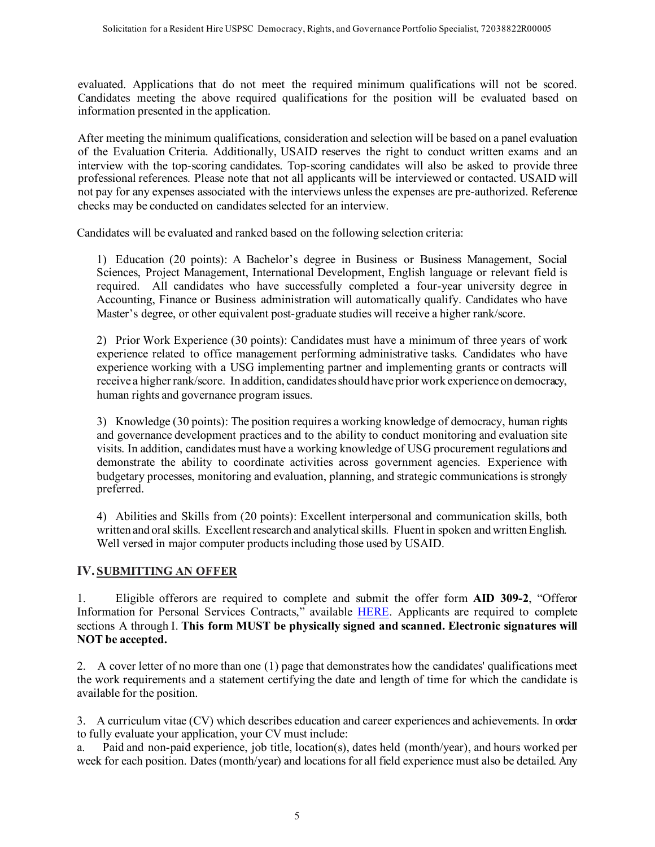evaluated. Applications that do not meet the required minimum qualifications will not be scored. Candidates meeting the above required qualifications for the position will be evaluated based on information presented in the application.

After meeting the minimum qualifications, consideration and selection will be based on a panel evaluation of the Evaluation Criteria. Additionally, USAID reserves the right to conduct written exams and an interview with the top-scoring candidates. Top-scoring candidates will also be asked to provide three professional references. Please note that not all applicants will be interviewed or contacted. USAID will not pay for any expenses associated with the interviews unless the expenses are pre-authorized. Reference checks may be conducted on candidates selected for an interview.

Candidates will be evaluated and ranked based on the following selection criteria:

1) Education (20 points): A Bachelor's degree in Business or Business Management, Social Sciences, Project Management, International Development, English language or relevant field is required. All candidates who have successfully completed a four-year university degree in Accounting, Finance or Business administration will automatically qualify. Candidates who have Master's degree, or other equivalent post-graduate studies will receive a higher rank/score.

2) Prior Work Experience (30 points): Candidates must have a minimum of three years of work experience related to office management performing administrative tasks. Candidates who have experience working with a USG implementing partner and implementing grants or contracts will receive a higher rank/score. In addition, candidates should have prior work experience on democracy, human rights and governance program issues.

3) Knowledge (30 points): The position requires a working knowledge of democracy, human rights and governance development practices and to the ability to conduct monitoring and evaluation site visits. In addition, candidates must have a working knowledge of USG procurement regulations and demonstrate the ability to coordinate activities across government agencies. Experience with budgetary processes, monitoring and evaluation, planning, and strategic communications is strongly preferred.

4) Abilities and Skills from (20 points): Excellent interpersonal and communication skills, both written and oral skills. Excellent research and analytical skills. Fluent in spoken and written English. Well versed in major computer products including those used by USAID.

### **IV. SUBMITTING AN OFFER**

1. Eligible offerors are required to complete and submit the offer form **AID 309-2**, "Offeror Information for Personal Services Contracts," available [HERE.](https://www.usaid.gov/documents/offeror-information-personal-services-contracts-individuals-aid-309-2) Applicants are required to complete sections A through I. **This form MUST be physically signed and scanned. Electronic signatures will NOT be accepted.**

2. A cover letter of no more than one (1) page that demonstrates how the candidates' qualifications meet the work requirements and a statement certifying the date and length of time for which the candidate is available for the position.

3. A curriculum vitae (CV) which describes education and career experiences and achievements. In order to fully evaluate your application, your CV must include:

a. Paid and non-paid experience, job title, location(s), dates held (month/year), and hours worked per week for each position. Dates (month/year) and locations for all field experience must also be detailed. Any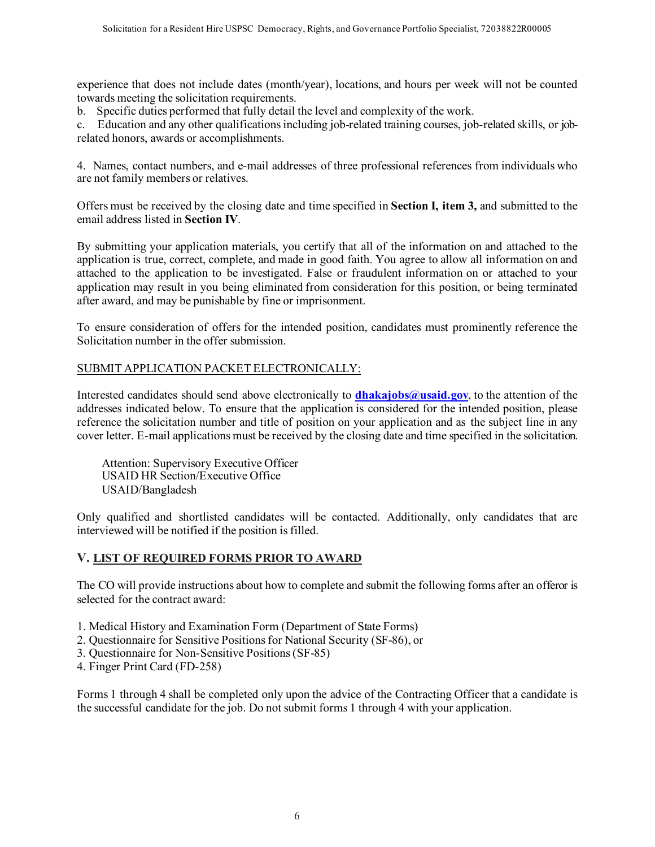experience that does not include dates (month/year), locations, and hours per week will not be counted towards meeting the solicitation requirements.

b. Specific duties performed that fully detail the level and complexity of the work.

c. Education and any other qualifications including job-related training courses, job-related skills, or jobrelated honors, awards or accomplishments.

4. Names, contact numbers, and e-mail addresses of three professional references from individuals who are not family members or relatives.

Offers must be received by the closing date and time specified in **Section I, item 3,** and submitted to the email address listed in **Section IV**.

By submitting your application materials, you certify that all of the information on and attached to the application is true, correct, complete, and made in good faith. You agree to allow all information on and attached to the application to be investigated. False or fraudulent information on or attached to your application may result in you being eliminated from consideration for this position, or being terminated after award, and may be punishable by fine or imprisonment.

To ensure consideration of offers for the intended position, candidates must prominently reference the Solicitation number in the offer submission.

### SUBMIT APPLICATION PACKET ELECTRONICALLY:

Interested candidates should send above electronically to **dhakajobs@usaid.gov**, to the attention of the addresses indicated below. To ensure that the application is considered for the intended position, please reference the solicitation number and title of position on your application and as the subject line in any cover letter. E-mail applications must be received by the closing date and time specified in the solicitation.

Attention: Supervisory Executive Officer USAID HR Section/Executive Office USAID/Bangladesh

Only qualified and shortlisted candidates will be contacted. Additionally, only candidates that are interviewed will be notified if the position is filled.

#### **V. LIST OF REQUIRED FORMS PRIOR TO AWARD**

The CO will provide instructions about how to complete and submit the following forms after an offeror is selected for the contract award:

- 1. Medical History and Examination Form (Department of State Forms)
- 2. Questionnaire for Sensitive Positions for National Security (SF-86), or
- 3. Questionnaire for Non-Sensitive Positions (SF-85)
- 4. Finger Print Card (FD-258)

Forms 1 through 4 shall be completed only upon the advice of the Contracting Officer that a candidate is the successful candidate for the job. Do not submit forms 1 through 4 with your application.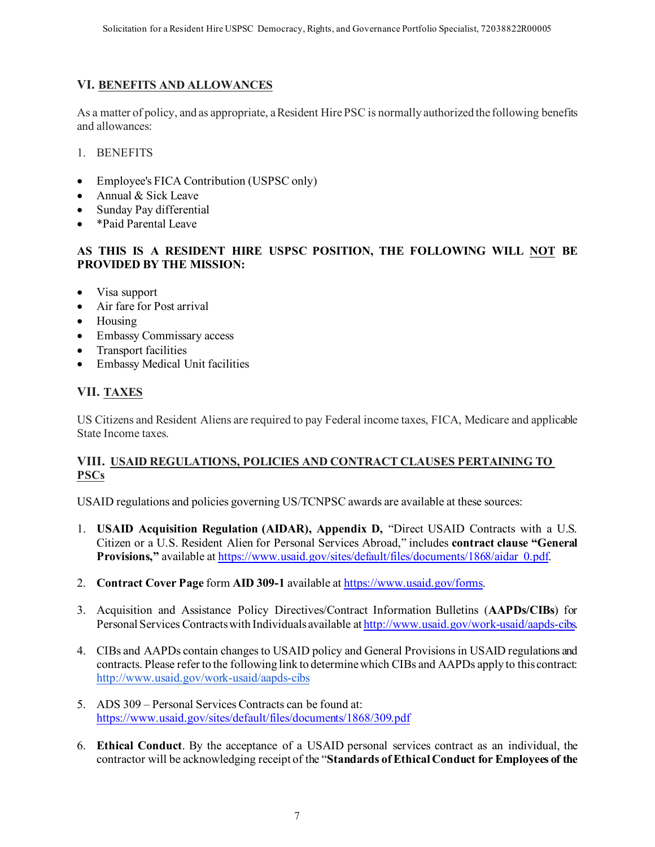## **VI. BENEFITS AND ALLOWANCES**

As a matter of policy, and as appropriate, a Resident Hire PSC is normally authorized the following benefits and allowances:

- 1. BENEFITS
- Employee's FICA Contribution (USPSC only)
- Annual & Sick Leave
- Sunday Pay differential
- \*Paid Parental Leave

### **AS THIS IS A RESIDENT HIRE USPSC POSITION, THE FOLLOWING WILL NOT BE PROVIDED BY THE MISSION:**

- Visa support
- Air fare for Post arrival
- Housing
- Embassy Commissary access
- Transport facilities
- Embassy Medical Unit facilities

# **VII. TAXES**

US Citizens and Resident Aliens are required to pay Federal income taxes, FICA, Medicare and applicable State Income taxes.

### **VIII. USAID REGULATIONS, POLICIES AND CONTRACT CLAUSES PERTAINING TO PSCs**

USAID regulations and policies governing US/TCNPSC awards are available at these sources:

- 1. **USAID Acquisition Regulation (AIDAR), Appendix D,** "Direct USAID Contracts with a U.S. Citizen or a U.S. Resident Alien for Personal Services Abroad," includes **contract clause "General Provisions,"** available a[t https://www.usaid.gov/sites/default/files/documents/1868/aidar\\_0.pdf](https://www.usaid.gov/sites/default/files/documents/1868/aidar_0.pdf).
- 2. **Contract Cover Page** form **AID 309-1** available a[t https://www.usaid.gov/forms](https://www.usaid.gov/forms).
- 3. Acquisition and Assistance Policy Directives/Contract Information Bulletins (**AAPDs/CIBs**) for Personal Services Contracts with Individuals available a[t http://www.usaid.gov/work-usaid/aapds-cibs.](http://www.usaid.gov/work-usaid/aapds-cibs)
- 4. CIBs and AAPDs contain changes to USAID policy and General Provisions in USAID regulations and contracts. Please refer to the following link to determine which CIBs and AAPDs apply to this contract: <http://www.usaid.gov/work-usaid/aapds-cibs>
- 5. ADS 309 Personal Services Contracts can be found at: <https://www.usaid.gov/sites/default/files/documents/1868/309.pdf>
- 6. **Ethical Conduct**. By the acceptance of a USAID personal services contract as an individual, the contractor will be acknowledging receipt of the "**Standards of Ethical Conduct for Employees of the**